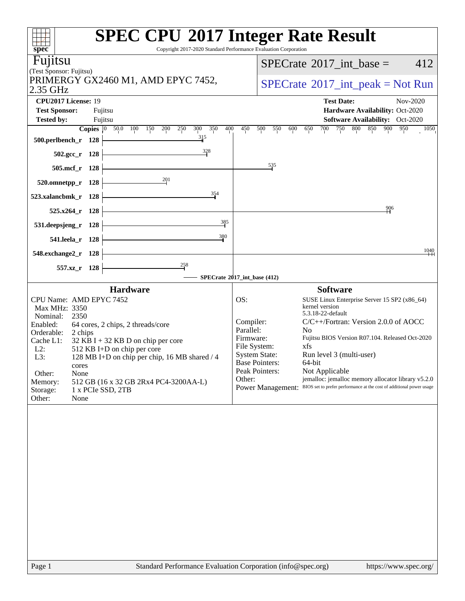| spec <sup>®</sup>                         |              | <b>SPEC CPU®2017 Integer Rate Result</b><br>Copyright 2017-2020 Standard Performance Evaluation Corporation |                        |                          |                                                                           |
|-------------------------------------------|--------------|-------------------------------------------------------------------------------------------------------------|------------------------|--------------------------|---------------------------------------------------------------------------|
| Fujitsu                                   |              |                                                                                                             |                        |                          | 412<br>$SPECrate^{\circledast}2017\_int\_base =$                          |
| (Test Sponsor: Fujitsu)                   |              | PRIMERGY GX2460 M1, AMD EPYC 7452,                                                                          |                        |                          |                                                                           |
| 2.35 GHz                                  |              |                                                                                                             |                        |                          | $SPECrate^{\circledast}2017\_int\_peak = Not Run$                         |
| CPU2017 License: 19                       |              |                                                                                                             |                        |                          | <b>Test Date:</b><br>Nov-2020                                             |
| <b>Test Sponsor:</b><br><b>Tested by:</b> |              | Fujitsu<br>Fujitsu                                                                                          |                        |                          | Hardware Availability: Oct-2020<br><b>Software Availability:</b> Oct-2020 |
|                                           | Copies $ 0 $ | 50.0 100<br>300<br>350<br>400<br>150<br>200<br>250                                                          | 450                    | 500<br>550<br>600        | 750<br>800<br>850<br>900<br>950<br>700<br>1050<br>650                     |
| 500.perlbench_r 128                       |              | 315                                                                                                         |                        |                          |                                                                           |
| $502.\text{gcc}_r$ 128                    |              | $\frac{328}{5}$                                                                                             |                        |                          |                                                                           |
| $505$ .mcf_r                              | 128          |                                                                                                             |                        | 535                      |                                                                           |
| 520.omnetpp_r                             | 128          | 201                                                                                                         |                        |                          |                                                                           |
| 523.xalancbmk r                           | 128          | 354                                                                                                         |                        |                          |                                                                           |
| $525.x264$ r                              | 128          |                                                                                                             |                        |                          | 906                                                                       |
| 531.deepsjeng_r                           | 128          | 385                                                                                                         |                        |                          |                                                                           |
| 541.leela_r 128                           |              | 380                                                                                                         |                        |                          |                                                                           |
| 548.exchange2_r 128                       |              |                                                                                                             |                        |                          | 1040                                                                      |
| 557.xz                                    | - 128        | $\frac{258}{1}$                                                                                             |                        |                          |                                                                           |
|                                           |              | SPECrate®2017_int_base (412)                                                                                |                        |                          |                                                                           |
| CPU Name: AMD EPYC 7452                   |              | <b>Hardware</b>                                                                                             | OS:                    |                          | <b>Software</b><br>SUSE Linux Enterprise Server 15 SP2 (x86_64)           |
| Max MHz: 3350                             |              |                                                                                                             |                        |                          | kernel version<br>5.3.18-22-default                                       |
| Nominal:<br>2350<br>Enabled:              |              | 64 cores, 2 chips, 2 threads/core                                                                           | Compiler:              |                          | $C/C++/Fortran$ : Version 2.0.0 of AOCC                                   |
| Orderable:<br>2 chips<br>Cache L1:        |              | $32$ KB I + 32 KB D on chip per core                                                                        | Parallel:<br>Firmware: |                          | N <sub>0</sub><br>Fujitsu BIOS Version R07.104. Released Oct-2020         |
| $L2$ :                                    |              | 512 KB I+D on chip per core                                                                                 | File System:           | <b>System State:</b>     | xfs<br>Run level 3 (multi-user)                                           |
| L3:<br>cores                              |              | 128 MB I+D on chip per chip, 16 MB shared / 4                                                               |                        | <b>Base Pointers:</b>    | 64-bit                                                                    |
| Other:<br>None                            |              |                                                                                                             | Other:                 | Peak Pointers:           | Not Applicable<br>jemalloc: jemalloc memory allocator library v5.2.0      |
| Memory:<br>Storage:                       |              | 512 GB (16 x 32 GB 2Rx4 PC4-3200AA-L)<br>1 x PCIe SSD, 2TB                                                  |                        | <b>Power Management:</b> | BIOS set to prefer performance at the cost of additional power usage      |
| Other:<br>None                            |              |                                                                                                             |                        |                          |                                                                           |
|                                           |              |                                                                                                             |                        |                          |                                                                           |
|                                           |              |                                                                                                             |                        |                          |                                                                           |
|                                           |              |                                                                                                             |                        |                          |                                                                           |
|                                           |              |                                                                                                             |                        |                          |                                                                           |
|                                           |              |                                                                                                             |                        |                          |                                                                           |
|                                           |              |                                                                                                             |                        |                          |                                                                           |
|                                           |              |                                                                                                             |                        |                          |                                                                           |
|                                           |              |                                                                                                             |                        |                          |                                                                           |
|                                           |              |                                                                                                             |                        |                          |                                                                           |
|                                           |              |                                                                                                             |                        |                          |                                                                           |
|                                           |              |                                                                                                             |                        |                          |                                                                           |
| Page 1                                    |              | Standard Performance Evaluation Corporation (info@spec.org)                                                 |                        |                          | https://www.spec.org/                                                     |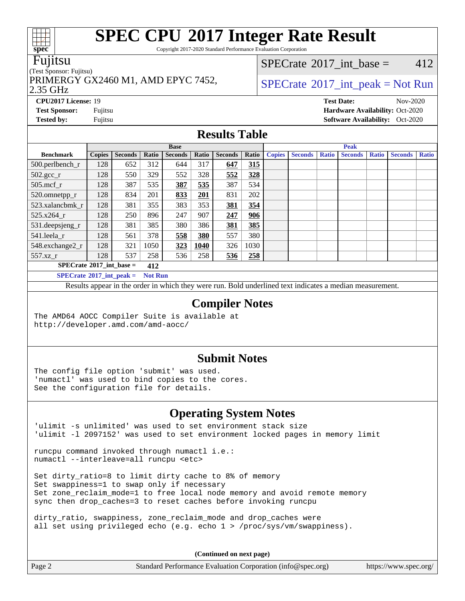Copyright 2017-2020 Standard Performance Evaluation Corporation

#### Fujitsu

#### (Test Sponsor: Fujitsu)

2.35 GHz PRIMERGY GX2460 M1, AMD EPYC 7452,  $\vert$  [SPECrate](http://www.spec.org/auto/cpu2017/Docs/result-fields.html#SPECrate2017intpeak) [2017\\_int\\_peak = N](http://www.spec.org/auto/cpu2017/Docs/result-fields.html#SPECrate2017intpeak)ot Run

[SPECrate](http://www.spec.org/auto/cpu2017/Docs/result-fields.html#SPECrate2017intbase)<sup>®</sup>2017 int base = 412

**[Tested by:](http://www.spec.org/auto/cpu2017/Docs/result-fields.html#Testedby)** Fujitsu **[Software Availability:](http://www.spec.org/auto/cpu2017/Docs/result-fields.html#SoftwareAvailability)** Oct-2020

**[CPU2017 License:](http://www.spec.org/auto/cpu2017/Docs/result-fields.html#CPU2017License)** 19 **[Test Date:](http://www.spec.org/auto/cpu2017/Docs/result-fields.html#TestDate)** Nov-2020 **[Test Sponsor:](http://www.spec.org/auto/cpu2017/Docs/result-fields.html#TestSponsor)** Fujitsu **[Hardware Availability:](http://www.spec.org/auto/cpu2017/Docs/result-fields.html#HardwareAvailability)** Oct-2020

#### **[Results Table](http://www.spec.org/auto/cpu2017/Docs/result-fields.html#ResultsTable)**

|                                                 | <b>Base</b>   |                |       |                |       |                | <b>Peak</b> |               |                |              |                |              |                |              |
|-------------------------------------------------|---------------|----------------|-------|----------------|-------|----------------|-------------|---------------|----------------|--------------|----------------|--------------|----------------|--------------|
| <b>Benchmark</b>                                | <b>Copies</b> | <b>Seconds</b> | Ratio | <b>Seconds</b> | Ratio | <b>Seconds</b> | Ratio       | <b>Copies</b> | <b>Seconds</b> | <b>Ratio</b> | <b>Seconds</b> | <b>Ratio</b> | <b>Seconds</b> | <b>Ratio</b> |
| $500.$ perlbench_r                              | 128           | 652            | 312   | 644            | 317   | 647            | 315         |               |                |              |                |              |                |              |
| $502.\text{sec}$ <sub>r</sub>                   | 128           | 550            | 329   | 552            | 328   | 552            | 328         |               |                |              |                |              |                |              |
| $505$ .mcf r                                    | 128           | 387            | 535   | 387            | 535   | 387            | 534         |               |                |              |                |              |                |              |
| 520.omnetpp_r                                   | 128           | 834            | 201   | 833            | 201   | 831            | 202         |               |                |              |                |              |                |              |
| 523.xalancbmk r                                 | 128           | 381            | 355   | 383            | 353   | 381            | 354         |               |                |              |                |              |                |              |
| 525.x264 r                                      | 128           | 250            | 896   | 247            | 907   | 247            | 906         |               |                |              |                |              |                |              |
| 531.deepsjeng_r                                 | 128           | 381            | 385   | 380            | 386   | 381            | 385         |               |                |              |                |              |                |              |
| 541.leela r                                     | 128           | 561            | 378   | 558            | 380   | 557            | 380         |               |                |              |                |              |                |              |
| 548.exchange2_r                                 | 128           | 321            | 1050  | 323            | 1040  | 326            | 1030        |               |                |              |                |              |                |              |
| 557.xz r                                        | 128           | 537            | 258   | 536            | 258   | 536            | 258         |               |                |              |                |              |                |              |
| $SPECrate^{\circledcirc}2017$ int base =<br>412 |               |                |       |                |       |                |             |               |                |              |                |              |                |              |
| $SPECrate^{\otimes}2017$ int neak =<br>Not Run  |               |                |       |                |       |                |             |               |                |              |                |              |                |              |

**[SPECrate](http://www.spec.org/auto/cpu2017/Docs/result-fields.html#SPECrate2017intpeak)[2017\\_int\\_peak =](http://www.spec.org/auto/cpu2017/Docs/result-fields.html#SPECrate2017intpeak) Not Run**

Results appear in the [order in which they were run](http://www.spec.org/auto/cpu2017/Docs/result-fields.html#RunOrder). Bold underlined text [indicates a median measurement](http://www.spec.org/auto/cpu2017/Docs/result-fields.html#Median).

#### **[Compiler Notes](http://www.spec.org/auto/cpu2017/Docs/result-fields.html#CompilerNotes)**

The AMD64 AOCC Compiler Suite is available at <http://developer.amd.com/amd-aocc/>

#### **[Submit Notes](http://www.spec.org/auto/cpu2017/Docs/result-fields.html#SubmitNotes)**

The config file option 'submit' was used. 'numactl' was used to bind copies to the cores. See the configuration file for details.

### **[Operating System Notes](http://www.spec.org/auto/cpu2017/Docs/result-fields.html#OperatingSystemNotes)**

'ulimit -s unlimited' was used to set environment stack size 'ulimit -l 2097152' was used to set environment locked pages in memory limit

runcpu command invoked through numactl i.e.: numactl --interleave=all runcpu <etc>

Set dirty\_ratio=8 to limit dirty cache to 8% of memory Set swappiness=1 to swap only if necessary Set zone\_reclaim\_mode=1 to free local node memory and avoid remote memory sync then drop\_caches=3 to reset caches before invoking runcpu

dirty\_ratio, swappiness, zone\_reclaim\_mode and drop\_caches were all set using privileged echo (e.g. echo 1 > /proc/sys/vm/swappiness).

**(Continued on next page)**

Page 2 Standard Performance Evaluation Corporation [\(info@spec.org\)](mailto:info@spec.org) <https://www.spec.org/>



**[spec](http://www.spec.org/)**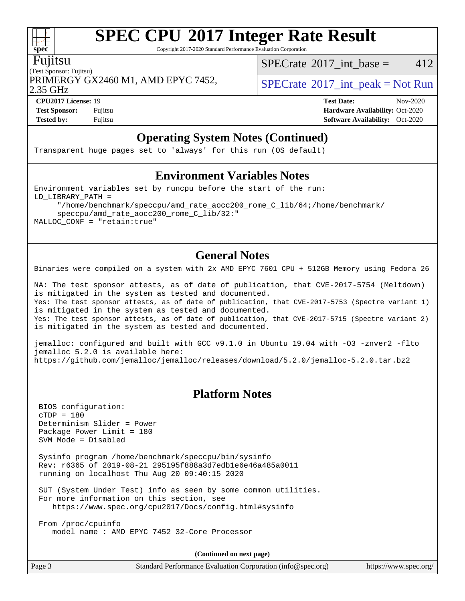Copyright 2017-2020 Standard Performance Evaluation Corporation

#### Fujitsu

(Test Sponsor: Fujitsu) PRIMERGY GX2460 M1, AMD EPYC 7452,  $\vert$  [SPECrate](http://www.spec.org/auto/cpu2017/Docs/result-fields.html#SPECrate2017intpeak) [2017\\_int\\_peak = N](http://www.spec.org/auto/cpu2017/Docs/result-fields.html#SPECrate2017intpeak)ot Run

[SPECrate](http://www.spec.org/auto/cpu2017/Docs/result-fields.html#SPECrate2017intbase)<sup>®</sup>2017 int base =  $412$ 

2.35 GHz

**[Tested by:](http://www.spec.org/auto/cpu2017/Docs/result-fields.html#Testedby)** Fujitsu **[Software Availability:](http://www.spec.org/auto/cpu2017/Docs/result-fields.html#SoftwareAvailability)** Oct-2020

**[CPU2017 License:](http://www.spec.org/auto/cpu2017/Docs/result-fields.html#CPU2017License)** 19 **[Test Date:](http://www.spec.org/auto/cpu2017/Docs/result-fields.html#TestDate)** Nov-2020 **[Test Sponsor:](http://www.spec.org/auto/cpu2017/Docs/result-fields.html#TestSponsor)** Fujitsu **[Hardware Availability:](http://www.spec.org/auto/cpu2017/Docs/result-fields.html#HardwareAvailability)** Oct-2020

## **[Operating System Notes \(Continued\)](http://www.spec.org/auto/cpu2017/Docs/result-fields.html#OperatingSystemNotes)**

Transparent huge pages set to 'always' for this run (OS default)

#### **[Environment Variables Notes](http://www.spec.org/auto/cpu2017/Docs/result-fields.html#EnvironmentVariablesNotes)**

Environment variables set by runcpu before the start of the run: LD\_LIBRARY\_PATH = "/home/benchmark/speccpu/amd\_rate\_aocc200\_rome\_C\_lib/64;/home/benchmark/ speccpu/amd\_rate\_aocc200\_rome\_C\_lib/32:"

MALLOC\_CONF = "retain:true"

### **[General Notes](http://www.spec.org/auto/cpu2017/Docs/result-fields.html#GeneralNotes)**

Binaries were compiled on a system with 2x AMD EPYC 7601 CPU + 512GB Memory using Fedora 26

NA: The test sponsor attests, as of date of publication, that CVE-2017-5754 (Meltdown) is mitigated in the system as tested and documented. Yes: The test sponsor attests, as of date of publication, that CVE-2017-5753 (Spectre variant 1) is mitigated in the system as tested and documented. Yes: The test sponsor attests, as of date of publication, that CVE-2017-5715 (Spectre variant 2) is mitigated in the system as tested and documented.

jemalloc: configured and built with GCC v9.1.0 in Ubuntu 19.04 with -O3 -znver2 -flto jemalloc 5.2.0 is available here: <https://github.com/jemalloc/jemalloc/releases/download/5.2.0/jemalloc-5.2.0.tar.bz2>

### **[Platform Notes](http://www.spec.org/auto/cpu2017/Docs/result-fields.html#PlatformNotes)**

 BIOS configuration: cTDP = 180 Determinism Slider = Power Package Power Limit = 180 SVM Mode = Disabled

 Sysinfo program /home/benchmark/speccpu/bin/sysinfo Rev: r6365 of 2019-08-21 295195f888a3d7edb1e6e46a485a0011 running on localhost Thu Aug 20 09:40:15 2020

 SUT (System Under Test) info as seen by some common utilities. For more information on this section, see <https://www.spec.org/cpu2017/Docs/config.html#sysinfo>

 From /proc/cpuinfo model name : AMD EPYC 7452 32-Core Processor

**(Continued on next page)**

Page 3 Standard Performance Evaluation Corporation [\(info@spec.org\)](mailto:info@spec.org) <https://www.spec.org/>

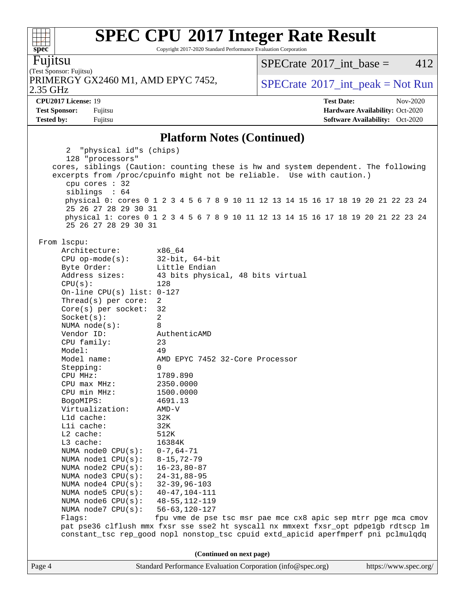Copyright 2017-2020 Standard Performance Evaluation Corporation

Fujitsu

**[spec](http://www.spec.org/)**

 $\begin{matrix} \begin{matrix} \text{+} \text{+} \text{+} \text{+} \end{matrix} \end{matrix}$ 

(Test Sponsor: Fujitsu) 2.35 GHz PRIMERGY GX2460 M1, AMD EPYC 7452,  $\vert$  [SPECrate](http://www.spec.org/auto/cpu2017/Docs/result-fields.html#SPECrate2017intpeak)®[2017\\_int\\_peak = N](http://www.spec.org/auto/cpu2017/Docs/result-fields.html#SPECrate2017intpeak)ot Run

 $SPECTate@2017_int\_base = 412$ 

**[Tested by:](http://www.spec.org/auto/cpu2017/Docs/result-fields.html#Testedby)** Fujitsu **[Software Availability:](http://www.spec.org/auto/cpu2017/Docs/result-fields.html#SoftwareAvailability)** Oct-2020

**[CPU2017 License:](http://www.spec.org/auto/cpu2017/Docs/result-fields.html#CPU2017License)** 19 **[Test Date:](http://www.spec.org/auto/cpu2017/Docs/result-fields.html#TestDate)** Nov-2020 **[Test Sponsor:](http://www.spec.org/auto/cpu2017/Docs/result-fields.html#TestSponsor)** Fujitsu **[Hardware Availability:](http://www.spec.org/auto/cpu2017/Docs/result-fields.html#HardwareAvailability)** Oct-2020

#### **[Platform Notes \(Continued\)](http://www.spec.org/auto/cpu2017/Docs/result-fields.html#PlatformNotes)**

| excerpts from /proc/cpuinfo might not be reliable. Use with caution.)<br>cpu cores : 32                                    |                                                                                                                                                                          |  |  |  |  |  |  |  |  |  |
|----------------------------------------------------------------------------------------------------------------------------|--------------------------------------------------------------------------------------------------------------------------------------------------------------------------|--|--|--|--|--|--|--|--|--|
| siblings : 64                                                                                                              | physical 0: cores 0 1 2 3 4 5 6 7 8 9 10 11 12 13 14 15 16 17 18 19 20 21 22 23 24                                                                                       |  |  |  |  |  |  |  |  |  |
| 25 26 27 28 29 30 31                                                                                                       |                                                                                                                                                                          |  |  |  |  |  |  |  |  |  |
| 25 26 27 28 29 30 31                                                                                                       | physical 1: cores 0 1 2 3 4 5 6 7 8 9 10 11 12 13 14 15 16 17 18 19 20 21 22 23 24                                                                                       |  |  |  |  |  |  |  |  |  |
| From 1scpu:                                                                                                                |                                                                                                                                                                          |  |  |  |  |  |  |  |  |  |
| Architecture:                                                                                                              | x86 64                                                                                                                                                                   |  |  |  |  |  |  |  |  |  |
| $CPU$ op-mode( $s$ ):                                                                                                      | $32$ -bit, $64$ -bit                                                                                                                                                     |  |  |  |  |  |  |  |  |  |
| Byte Order:                                                                                                                | Little Endian                                                                                                                                                            |  |  |  |  |  |  |  |  |  |
| Address sizes:                                                                                                             | 43 bits physical, 48 bits virtual                                                                                                                                        |  |  |  |  |  |  |  |  |  |
|                                                                                                                            | CPU(s):<br>128                                                                                                                                                           |  |  |  |  |  |  |  |  |  |
| On-line CPU(s) list: $0-127$                                                                                               |                                                                                                                                                                          |  |  |  |  |  |  |  |  |  |
| Thread(s) per core:<br>$Core(s)$ per socket:                                                                               | 2<br>32                                                                                                                                                                  |  |  |  |  |  |  |  |  |  |
| Socket(s):                                                                                                                 | $\overline{a}$                                                                                                                                                           |  |  |  |  |  |  |  |  |  |
| NUMA $node(s):$                                                                                                            | 8                                                                                                                                                                        |  |  |  |  |  |  |  |  |  |
| Vendor ID:                                                                                                                 | AuthenticAMD                                                                                                                                                             |  |  |  |  |  |  |  |  |  |
| CPU family:                                                                                                                | 23                                                                                                                                                                       |  |  |  |  |  |  |  |  |  |
| Model:                                                                                                                     | 49                                                                                                                                                                       |  |  |  |  |  |  |  |  |  |
| Model name:                                                                                                                | AMD EPYC 7452 32-Core Processor                                                                                                                                          |  |  |  |  |  |  |  |  |  |
| Stepping:                                                                                                                  | $\Omega$                                                                                                                                                                 |  |  |  |  |  |  |  |  |  |
| CPU MHz:                                                                                                                   | 1789.890                                                                                                                                                                 |  |  |  |  |  |  |  |  |  |
| CPU max MHz:                                                                                                               | 2350.0000                                                                                                                                                                |  |  |  |  |  |  |  |  |  |
| CPU min MHz:                                                                                                               | 1500.0000                                                                                                                                                                |  |  |  |  |  |  |  |  |  |
| BogoMIPS:                                                                                                                  | 4691.13                                                                                                                                                                  |  |  |  |  |  |  |  |  |  |
| Virtualization:<br>L1d cache:                                                                                              | AMD-V<br>32K                                                                                                                                                             |  |  |  |  |  |  |  |  |  |
| Lli cache:                                                                                                                 | 32K                                                                                                                                                                      |  |  |  |  |  |  |  |  |  |
| $L2$ cache:                                                                                                                | 512K                                                                                                                                                                     |  |  |  |  |  |  |  |  |  |
| L3 cache:                                                                                                                  | 16384K                                                                                                                                                                   |  |  |  |  |  |  |  |  |  |
| NUMA node0 CPU(s):                                                                                                         | $0 - 7, 64 - 71$                                                                                                                                                         |  |  |  |  |  |  |  |  |  |
| NUMA $node1$ $CPU(s):$                                                                                                     | $8 - 15, 72 - 79$                                                                                                                                                        |  |  |  |  |  |  |  |  |  |
| NUMA $node2$ $CPU(s):$                                                                                                     | $16 - 23,80 - 87$                                                                                                                                                        |  |  |  |  |  |  |  |  |  |
| NUMA $node3$ $CPU(s):$                                                                                                     | $24 - 31,88 - 95$                                                                                                                                                        |  |  |  |  |  |  |  |  |  |
| NUMA $node4$ $CPU(s):$                                                                                                     | $32 - 39, 96 - 103$                                                                                                                                                      |  |  |  |  |  |  |  |  |  |
| NUMA node5 CPU(s): 40-47,104-111                                                                                           |                                                                                                                                                                          |  |  |  |  |  |  |  |  |  |
| NUMA node6 CPU(s): 48-55,112-119                                                                                           |                                                                                                                                                                          |  |  |  |  |  |  |  |  |  |
| NUMA $node7$ $CPU(s):$                                                                                                     | 56-63,120-127                                                                                                                                                            |  |  |  |  |  |  |  |  |  |
| Flags:                                                                                                                     | fpu vme de pse tsc msr pae mce cx8 apic sep mtrr pge mca cmov                                                                                                            |  |  |  |  |  |  |  |  |  |
|                                                                                                                            | pat pse36 clflush mmx fxsr sse sse2 ht syscall nx mmxext fxsr_opt pdpelgb rdtscp lm<br>constant_tsc rep_good nopl nonstop_tsc cpuid extd_apicid aperfmperf pni pclmulqdq |  |  |  |  |  |  |  |  |  |
|                                                                                                                            |                                                                                                                                                                          |  |  |  |  |  |  |  |  |  |
| (Continued on next page)<br>Standard Performance Evaluation Corporation (info@spec.org)<br>https://www.spec.org/<br>Page 4 |                                                                                                                                                                          |  |  |  |  |  |  |  |  |  |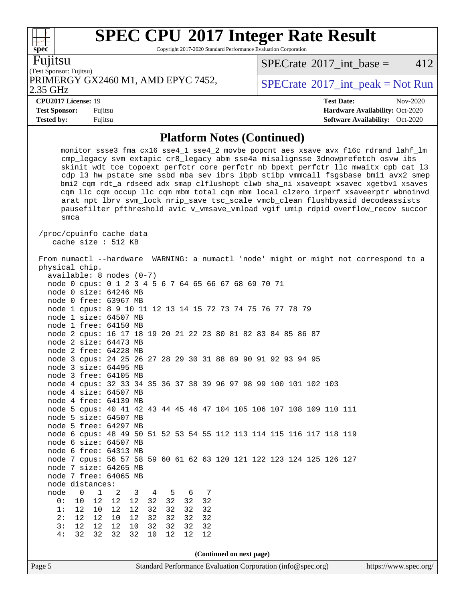Copyright 2017-2020 Standard Performance Evaluation Corporation

Fujitsu

(Test Sponsor: Fujitsu) PRIMERGY GX2460 M1, AMD EPYC 7452,  $\vert$  [SPECrate](http://www.spec.org/auto/cpu2017/Docs/result-fields.html#SPECrate2017intpeak) [2017\\_int\\_peak = N](http://www.spec.org/auto/cpu2017/Docs/result-fields.html#SPECrate2017intpeak)ot Run

 $SPECTate^{\circ}2017$  int base = 412

#### 2.35 GHz

**[Test Sponsor:](http://www.spec.org/auto/cpu2017/Docs/result-fields.html#TestSponsor)** Fujitsu **[Hardware Availability:](http://www.spec.org/auto/cpu2017/Docs/result-fields.html#HardwareAvailability)** Oct-2020 **[Tested by:](http://www.spec.org/auto/cpu2017/Docs/result-fields.html#Testedby)** Fujitsu **[Software Availability:](http://www.spec.org/auto/cpu2017/Docs/result-fields.html#SoftwareAvailability)** Oct-2020

**[CPU2017 License:](http://www.spec.org/auto/cpu2017/Docs/result-fields.html#CPU2017License)** 19 **[Test Date:](http://www.spec.org/auto/cpu2017/Docs/result-fields.html#TestDate)** Nov-2020

### **[Platform Notes \(Continued\)](http://www.spec.org/auto/cpu2017/Docs/result-fields.html#PlatformNotes)**

 monitor ssse3 fma cx16 sse4\_1 sse4\_2 movbe popcnt aes xsave avx f16c rdrand lahf\_lm cmp\_legacy svm extapic cr8\_legacy abm sse4a misalignsse 3dnowprefetch osvw ibs skinit wdt tce topoext perfctr\_core perfctr\_nb bpext perfctr\_llc mwaitx cpb cat\_l3 cdp\_l3 hw\_pstate sme ssbd mba sev ibrs ibpb stibp vmmcall fsgsbase bmi1 avx2 smep bmi2 cqm rdt\_a rdseed adx smap clflushopt clwb sha\_ni xsaveopt xsavec xgetbv1 xsaves cqm\_llc cqm\_occup\_llc cqm\_mbm\_total cqm\_mbm\_local clzero irperf xsaveerptr wbnoinvd arat npt lbrv svm\_lock nrip\_save tsc\_scale vmcb\_clean flushbyasid decodeassists pausefilter pfthreshold avic v\_vmsave\_vmload vgif umip rdpid overflow\_recov succor smca

 /proc/cpuinfo cache data cache size : 512 KB

Page 5 Standard Performance Evaluation Corporation [\(info@spec.org\)](mailto:info@spec.org) <https://www.spec.org/> From numactl --hardware WARNING: a numactl 'node' might or might not correspond to a physical chip. available: 8 nodes (0-7) node 0 cpus: 0 1 2 3 4 5 6 7 64 65 66 67 68 69 70 71 node 0 size: 64246 MB node 0 free: 63967 MB node 1 cpus: 8 9 10 11 12 13 14 15 72 73 74 75 76 77 78 79 node 1 size: 64507 MB node 1 free: 64150 MB node 2 cpus: 16 17 18 19 20 21 22 23 80 81 82 83 84 85 86 87 node 2 size: 64473 MB node 2 free: 64228 MB node 3 cpus: 24 25 26 27 28 29 30 31 88 89 90 91 92 93 94 95 node 3 size: 64495 MB node 3 free: 64105 MB node 4 cpus: 32 33 34 35 36 37 38 39 96 97 98 99 100 101 102 103 node 4 size: 64507 MB node 4 free: 64139 MB node 5 cpus: 40 41 42 43 44 45 46 47 104 105 106 107 108 109 110 111 node 5 size: 64507 MB node 5 free: 64297 MB node 6 cpus: 48 49 50 51 52 53 54 55 112 113 114 115 116 117 118 119 node 6 size: 64507 MB node 6 free: 64313 MB node 7 cpus: 56 57 58 59 60 61 62 63 120 121 122 123 124 125 126 127 node 7 size: 64265 MB node 7 free: 64065 MB node distances: node 0 1 2 3 4 5 6 7<br>0: 10 12 12 12 32 32 32 32 0: 10 12 12 12 32 32 32 32 1: 12 10 12 12 32 32 32 32 2: 12 12 10 12 32 32 32 32 3: 12 12 12 10 32 32 32 32 4: 32 32 32 32 10 12 12 12 **(Continued on next page)**

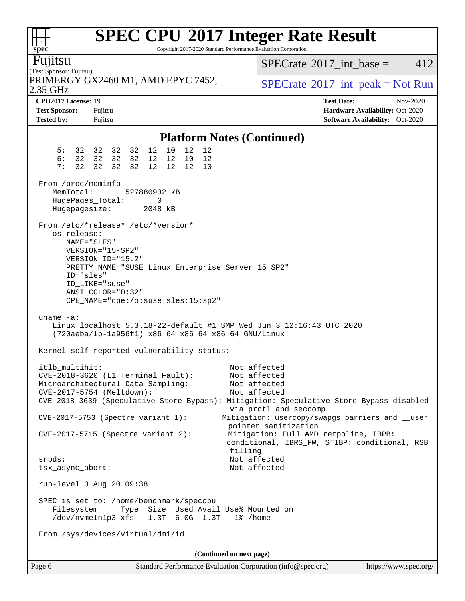Copyright 2017-2020 Standard Performance Evaluation Corporation

(Test Sponsor: Fujitsu) Fujitsu 2.35 GHz PRIMERGY GX2460 M1, AMD EPYC 7452,  $\vert$  [SPECrate](http://www.spec.org/auto/cpu2017/Docs/result-fields.html#SPECrate2017intpeak) [2017\\_int\\_peak = N](http://www.spec.org/auto/cpu2017/Docs/result-fields.html#SPECrate2017intpeak)ot Run [SPECrate](http://www.spec.org/auto/cpu2017/Docs/result-fields.html#SPECrate2017intbase)<sup>®</sup>2017 int base =  $412$ **[CPU2017 License:](http://www.spec.org/auto/cpu2017/Docs/result-fields.html#CPU2017License)** 19 **[Test Date:](http://www.spec.org/auto/cpu2017/Docs/result-fields.html#TestDate)** Nov-2020 **[Test Sponsor:](http://www.spec.org/auto/cpu2017/Docs/result-fields.html#TestSponsor)** Fujitsu **[Hardware Availability:](http://www.spec.org/auto/cpu2017/Docs/result-fields.html#HardwareAvailability)** Oct-2020 **[Tested by:](http://www.spec.org/auto/cpu2017/Docs/result-fields.html#Testedby)** Fujitsu **Fugital Exception Contract Contract Contract Contract Contract Contract Contract Contract Contract Contract Contract Contract Contract Contract Contract Contract Contract Contract Contract Contract Co [Platform Notes \(Continued\)](http://www.spec.org/auto/cpu2017/Docs/result-fields.html#PlatformNotes)** 5: 32 32 32 32 12 10 12 12 6: 32 32 32 32 12 12 10 12 7: 32 32 32 32 12 12 12 10 From /proc/meminfo MemTotal: 527880932 kB HugePages\_Total: 0<br>Hugepagesize: 2048 kB Hugepagesize: From /etc/\*release\* /etc/\*version\* os-release: NAME="SLES" VERSION="15-SP2" VERSION\_ID="15.2" PRETTY\_NAME="SUSE Linux Enterprise Server 15 SP2" ID="sles" ID\_LIKE="suse" ANSI\_COLOR="0;32" CPE\_NAME="cpe:/o:suse:sles:15:sp2" uname -a: Linux localhost 5.3.18-22-default #1 SMP Wed Jun 3 12:16:43 UTC 2020 (720aeba/lp-1a956f1) x86\_64 x86\_64 x86\_64 GNU/Linux Kernel self-reported vulnerability status: itlb\_multihit: Not affected CVE-2018-3620 (L1 Terminal Fault): Not affected Microarchitectural Data Sampling: Not affected CVE-2017-5754 (Meltdown): Not affected CVE-2018-3639 (Speculative Store Bypass): Mitigation: Speculative Store Bypass disabled via prctl and seccomp CVE-2017-5753 (Spectre variant 1): Mitigation: usercopy/swapgs barriers and \_\_user pointer sanitization CVE-2017-5715 (Spectre variant 2): Mitigation: Full AMD retpoline, IBPB: conditional, IBRS\_FW, STIBP: conditional, RSB filling srbds: Not affected tsx\_async\_abort: Not affected run-level 3 Aug 20 09:38 SPEC is set to: /home/benchmark/speccpu Filesystem Type Size Used Avail Use% Mounted on /dev/nvme1n1p3 xfs 1.3T 6.0G 1.3T 1% /home From /sys/devices/virtual/dmi/id **(Continued on next page)**

**[spec](http://www.spec.org/)**

 $+\ +$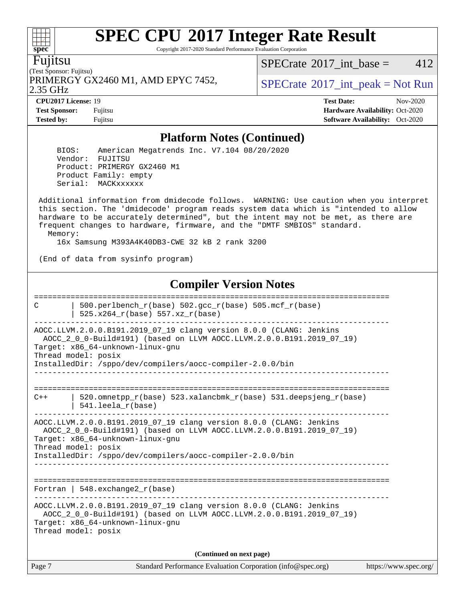Copyright 2017-2020 Standard Performance Evaluation Corporation

(Test Sponsor: Fujitsu) Fujitsu

2.35 GHz PRIMERGY GX2460 M1, AMD EPYC 7452,  $\vert$  [SPECrate](http://www.spec.org/auto/cpu2017/Docs/result-fields.html#SPECrate2017intpeak) 2017 int peak = Not Run

[SPECrate](http://www.spec.org/auto/cpu2017/Docs/result-fields.html#SPECrate2017intbase)<sup>®</sup>2017 int base =  $412$ 

**[Test Sponsor:](http://www.spec.org/auto/cpu2017/Docs/result-fields.html#TestSponsor)** Fujitsu **[Hardware Availability:](http://www.spec.org/auto/cpu2017/Docs/result-fields.html#HardwareAvailability)** Oct-2020 **[Tested by:](http://www.spec.org/auto/cpu2017/Docs/result-fields.html#Testedby)** Fujitsu **Fugital Exception Contract Contract Contract Contract Contract Contract Contract Contract Contract Contract Contract Contract Contract Contract Contract Contract Contract Contract Contract Contract Co** 

**[CPU2017 License:](http://www.spec.org/auto/cpu2017/Docs/result-fields.html#CPU2017License)** 19 **[Test Date:](http://www.spec.org/auto/cpu2017/Docs/result-fields.html#TestDate)** Nov-2020

### **[Platform Notes \(Continued\)](http://www.spec.org/auto/cpu2017/Docs/result-fields.html#PlatformNotes)**

 BIOS: American Megatrends Inc. V7.104 08/20/2020 Vendor: FUJITSU Product: PRIMERGY GX2460 M1 Product Family: empty Serial: MACKxxxxxx

 Additional information from dmidecode follows. WARNING: Use caution when you interpret this section. The 'dmidecode' program reads system data which is "intended to allow hardware to be accurately determined", but the intent may not be met, as there are frequent changes to hardware, firmware, and the "DMTF SMBIOS" standard. Memory:

16x Samsung M393A4K40DB3-CWE 32 kB 2 rank 3200

(End of data from sysinfo program)

## **[Compiler Version Notes](http://www.spec.org/auto/cpu2017/Docs/result-fields.html#CompilerVersionNotes)**

Page 7 Standard Performance Evaluation Corporation [\(info@spec.org\)](mailto:info@spec.org) <https://www.spec.org/> ============================================================================== C | 500.perlbench r(base) 502.gcc r(base) 505.mcf r(base) | 525.x264\_r(base) 557.xz\_r(base) ------------------------------------------------------------------------------ AOCC.LLVM.2.0.0.B191.2019\_07\_19 clang version 8.0.0 (CLANG: Jenkins AOCC\_2\_0\_0-Build#191) (based on LLVM AOCC.LLVM.2.0.0.B191.2019\_07\_19) Target: x86\_64-unknown-linux-gnu Thread model: posix InstalledDir: /sppo/dev/compilers/aocc-compiler-2.0.0/bin ------------------------------------------------------------------------------ ==============================================================================  $C++$  | 520.omnetpp\_r(base) 523.xalancbmk\_r(base) 531.deepsjeng\_r(base) | 541.leela\_r(base) ------------------------------------------------------------------------------ AOCC.LLVM.2.0.0.B191.2019\_07\_19 clang version 8.0.0 (CLANG: Jenkins AOCC\_2\_0\_0-Build#191) (based on LLVM AOCC.LLVM.2.0.0.B191.2019\_07\_19) Target: x86\_64-unknown-linux-gnu Thread model: posix InstalledDir: /sppo/dev/compilers/aocc-compiler-2.0.0/bin ------------------------------------------------------------------------------ ============================================================================== Fortran | 548.exchange2\_r(base) ------------------------------------------------------------------------------ AOCC.LLVM.2.0.0.B191.2019\_07\_19 clang version 8.0.0 (CLANG: Jenkins AOCC\_2\_0\_0-Build#191) (based on LLVM AOCC.LLVM.2.0.0.B191.2019\_07\_19) Target: x86\_64-unknown-linux-gnu Thread model: posix **(Continued on next page)**

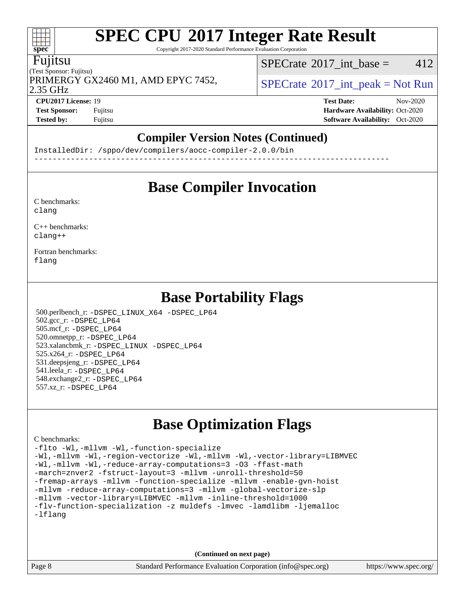Copyright 2017-2020 Standard Performance Evaluation Corporation

#### Fujitsu

**[spec](http://www.spec.org/)**

 $\pm\pm\prime$ 

(Test Sponsor: Fujitsu) 2.35 GHz PRIMERGY GX2460 M1, AMD EPYC 7452,  $\vert$  [SPECrate](http://www.spec.org/auto/cpu2017/Docs/result-fields.html#SPECrate2017intpeak) [2017\\_int\\_peak = N](http://www.spec.org/auto/cpu2017/Docs/result-fields.html#SPECrate2017intpeak)ot Run

[SPECrate](http://www.spec.org/auto/cpu2017/Docs/result-fields.html#SPECrate2017intbase)<sup>®</sup>2017 int base = 412

**[Test Sponsor:](http://www.spec.org/auto/cpu2017/Docs/result-fields.html#TestSponsor)** Fujitsu **[Hardware Availability:](http://www.spec.org/auto/cpu2017/Docs/result-fields.html#HardwareAvailability)** Oct-2020

**[CPU2017 License:](http://www.spec.org/auto/cpu2017/Docs/result-fields.html#CPU2017License)** 19 **[Test Date:](http://www.spec.org/auto/cpu2017/Docs/result-fields.html#TestDate)** Nov-2020

## **[Compiler Version Notes \(Continued\)](http://www.spec.org/auto/cpu2017/Docs/result-fields.html#CompilerVersionNotes)**

**[Tested by:](http://www.spec.org/auto/cpu2017/Docs/result-fields.html#Testedby)** Fujitsu **[Software Availability:](http://www.spec.org/auto/cpu2017/Docs/result-fields.html#SoftwareAvailability)** Oct-2020

------------------------------------------------------------------------------

InstalledDir: /sppo/dev/compilers/aocc-compiler-2.0.0/bin

## **[Base Compiler Invocation](http://www.spec.org/auto/cpu2017/Docs/result-fields.html#BaseCompilerInvocation)**

[C benchmarks](http://www.spec.org/auto/cpu2017/Docs/result-fields.html#Cbenchmarks): [clang](http://www.spec.org/cpu2017/results/res2020q4/cpu2017-20201124-24495.flags.html#user_CCbase_clang-c)

[C++ benchmarks:](http://www.spec.org/auto/cpu2017/Docs/result-fields.html#CXXbenchmarks) [clang++](http://www.spec.org/cpu2017/results/res2020q4/cpu2017-20201124-24495.flags.html#user_CXXbase_clang-cpp)

[Fortran benchmarks](http://www.spec.org/auto/cpu2017/Docs/result-fields.html#Fortranbenchmarks): [flang](http://www.spec.org/cpu2017/results/res2020q4/cpu2017-20201124-24495.flags.html#user_FCbase_flang)

## **[Base Portability Flags](http://www.spec.org/auto/cpu2017/Docs/result-fields.html#BasePortabilityFlags)**

 500.perlbench\_r: [-DSPEC\\_LINUX\\_X64](http://www.spec.org/cpu2017/results/res2020q4/cpu2017-20201124-24495.flags.html#b500.perlbench_r_basePORTABILITY_DSPEC_LINUX_X64) [-DSPEC\\_LP64](http://www.spec.org/cpu2017/results/res2020q4/cpu2017-20201124-24495.flags.html#b500.perlbench_r_baseEXTRA_PORTABILITY_DSPEC_LP64) 502.gcc\_r: [-DSPEC\\_LP64](http://www.spec.org/cpu2017/results/res2020q4/cpu2017-20201124-24495.flags.html#suite_baseEXTRA_PORTABILITY502_gcc_r_DSPEC_LP64) 505.mcf\_r: [-DSPEC\\_LP64](http://www.spec.org/cpu2017/results/res2020q4/cpu2017-20201124-24495.flags.html#suite_baseEXTRA_PORTABILITY505_mcf_r_DSPEC_LP64) 520.omnetpp\_r: [-DSPEC\\_LP64](http://www.spec.org/cpu2017/results/res2020q4/cpu2017-20201124-24495.flags.html#suite_baseEXTRA_PORTABILITY520_omnetpp_r_DSPEC_LP64) 523.xalancbmk\_r: [-DSPEC\\_LINUX](http://www.spec.org/cpu2017/results/res2020q4/cpu2017-20201124-24495.flags.html#b523.xalancbmk_r_basePORTABILITY_DSPEC_LINUX) [-DSPEC\\_LP64](http://www.spec.org/cpu2017/results/res2020q4/cpu2017-20201124-24495.flags.html#suite_baseEXTRA_PORTABILITY523_xalancbmk_r_DSPEC_LP64) 525.x264\_r: [-DSPEC\\_LP64](http://www.spec.org/cpu2017/results/res2020q4/cpu2017-20201124-24495.flags.html#suite_baseEXTRA_PORTABILITY525_x264_r_DSPEC_LP64) 531.deepsjeng\_r: [-DSPEC\\_LP64](http://www.spec.org/cpu2017/results/res2020q4/cpu2017-20201124-24495.flags.html#suite_baseEXTRA_PORTABILITY531_deepsjeng_r_DSPEC_LP64) 541.leela\_r: [-DSPEC\\_LP64](http://www.spec.org/cpu2017/results/res2020q4/cpu2017-20201124-24495.flags.html#suite_baseEXTRA_PORTABILITY541_leela_r_DSPEC_LP64) 548.exchange2\_r: [-DSPEC\\_LP64](http://www.spec.org/cpu2017/results/res2020q4/cpu2017-20201124-24495.flags.html#suite_baseEXTRA_PORTABILITY548_exchange2_r_DSPEC_LP64) 557.xz\_r: [-DSPEC\\_LP64](http://www.spec.org/cpu2017/results/res2020q4/cpu2017-20201124-24495.flags.html#suite_baseEXTRA_PORTABILITY557_xz_r_DSPEC_LP64)

## **[Base Optimization Flags](http://www.spec.org/auto/cpu2017/Docs/result-fields.html#BaseOptimizationFlags)**

#### [C benchmarks](http://www.spec.org/auto/cpu2017/Docs/result-fields.html#Cbenchmarks):

[-flto](http://www.spec.org/cpu2017/results/res2020q4/cpu2017-20201124-24495.flags.html#user_CCbase_aocc-flto) [-Wl,-mllvm -Wl,-function-specialize](http://www.spec.org/cpu2017/results/res2020q4/cpu2017-20201124-24495.flags.html#user_CCbase_F-function-specialize_7e7e661e57922243ee67c9a1251cb8910e607325179a0ce7f2884e09a6f5d4a5ef0ae4f37e8a2a11c95fc48e931f06dc2b6016f14b511fcb441e048bef1b065a) [-Wl,-mllvm -Wl,-region-vectorize](http://www.spec.org/cpu2017/results/res2020q4/cpu2017-20201124-24495.flags.html#user_CCbase_F-region-vectorize_fb6c6b5aa293c88efc6c7c2b52b20755e943585b1fe8658c35afef78727fff56e1a56891413c30e36b8e2a6f9a71126986319243e80eb6110b78b288f533c52b) [-Wl,-mllvm -Wl,-vector-library=LIBMVEC](http://www.spec.org/cpu2017/results/res2020q4/cpu2017-20201124-24495.flags.html#user_CCbase_F-use-vector-library_0a14b27fae317f283640384a31f7bfcc2bd4c1d0b5cfc618a3a430800c9b20217b00f61303eff223a3251b4f06ffbc9739dc5296db9d1fbb9ad24a3939d86d66) [-Wl,-mllvm -Wl,-reduce-array-computations=3](http://www.spec.org/cpu2017/results/res2020q4/cpu2017-20201124-24495.flags.html#user_CCbase_F-reduce-array-computations_b882aefe7a5dda4e33149f6299762b9a720dace3e498e13756f4c04e5a19edf5315c1f3993de2e61ec41e8c206231f84e05da7040e1bb5d69ba27d10a12507e4) [-O3](http://www.spec.org/cpu2017/results/res2020q4/cpu2017-20201124-24495.flags.html#user_CCbase_F-O3) [-ffast-math](http://www.spec.org/cpu2017/results/res2020q4/cpu2017-20201124-24495.flags.html#user_CCbase_aocc-ffast-math) [-march=znver2](http://www.spec.org/cpu2017/results/res2020q4/cpu2017-20201124-24495.flags.html#user_CCbase_aocc-march_3e2e19cff2eeef60c5d90b059483627c9ea47eca6d66670dbd53f9185f6439e27eb5e104cf773e9e8ab18c8842ce63e461a3e948d0214bd567ef3ade411bf467) [-fstruct-layout=3](http://www.spec.org/cpu2017/results/res2020q4/cpu2017-20201124-24495.flags.html#user_CCbase_F-struct-layout) [-mllvm -unroll-threshold=50](http://www.spec.org/cpu2017/results/res2020q4/cpu2017-20201124-24495.flags.html#user_CCbase_F-unroll-threshold_458874500b2c105d6d5cb4d7a611c40e2b16e9e3d26b355fea72d644c3673b4de4b3932662f0ed3dbec75c491a13da2d2ca81180bd779dc531083ef1e1e549dc) [-fremap-arrays](http://www.spec.org/cpu2017/results/res2020q4/cpu2017-20201124-24495.flags.html#user_CCbase_F-fremap-arrays) [-mllvm -function-specialize](http://www.spec.org/cpu2017/results/res2020q4/cpu2017-20201124-24495.flags.html#user_CCbase_F-function-specialize_233b3bdba86027f1b094368157e481c5bc59f40286dc25bfadc1858dcd5745c24fd30d5f188710db7fea399bcc9f44a80b3ce3aacc70a8870250c3ae5e1f35b8) [-mllvm -enable-gvn-hoist](http://www.spec.org/cpu2017/results/res2020q4/cpu2017-20201124-24495.flags.html#user_CCbase_F-enable-gvn-hoist_e5856354646dd6ca1333a0ad99b817e4cf8932b91b82809fd8fd47ceff7b22a89eba5c98fd3e3fa5200368fd772cec3dd56abc3c8f7b655a71b9f9848dddedd5) [-mllvm -reduce-array-computations=3](http://www.spec.org/cpu2017/results/res2020q4/cpu2017-20201124-24495.flags.html#user_CCbase_F-reduce-array-computations_aceadb8604558b566e0e3a0d7a3c1533923dd1fa0889614e16288028922629a28d5695c24d3b3be4306b1e311c54317dfffe3a2e57fbcaabc737a1798de39145) [-mllvm -global-vectorize-slp](http://www.spec.org/cpu2017/results/res2020q4/cpu2017-20201124-24495.flags.html#user_CCbase_F-global-vectorize-slp_a3935e8627af4ced727033b1ffd4db27f4d541a363d28d82bf4c2925fb3a0fd4115d6e42d13a2829f9e024d6608eb67a85cb49770f2da5c5ac8dbc737afad603) [-mllvm -vector-library=LIBMVEC](http://www.spec.org/cpu2017/results/res2020q4/cpu2017-20201124-24495.flags.html#user_CCbase_F-use-vector-library_e584e20b4f7ec96aa109254b65d8e01d864f3d68580371b9d93ed7c338191d4cfce20c3c864632264effc6bbe4c7c38153d02096a342ee92501c4a53204a7871) [-mllvm -inline-threshold=1000](http://www.spec.org/cpu2017/results/res2020q4/cpu2017-20201124-24495.flags.html#user_CCbase_dragonegg-llvm-inline-threshold_b7832241b0a6397e4ecdbaf0eb7defdc10f885c2a282fa3240fdc99844d543fda39cf8a4a9dccf68cf19b5438ac3b455264f478df15da0f4988afa40d8243bab) [-flv-function-specialization](http://www.spec.org/cpu2017/results/res2020q4/cpu2017-20201124-24495.flags.html#user_CCbase_F-flv-function-specialization) [-z muldefs](http://www.spec.org/cpu2017/results/res2020q4/cpu2017-20201124-24495.flags.html#user_CCbase_aocc-muldefs) [-lmvec](http://www.spec.org/cpu2017/results/res2020q4/cpu2017-20201124-24495.flags.html#user_CCbase_F-lmvec) [-lamdlibm](http://www.spec.org/cpu2017/results/res2020q4/cpu2017-20201124-24495.flags.html#user_CCbase_F-lamdlibm) [-ljemalloc](http://www.spec.org/cpu2017/results/res2020q4/cpu2017-20201124-24495.flags.html#user_CCbase_jemalloc-lib) [-lflang](http://www.spec.org/cpu2017/results/res2020q4/cpu2017-20201124-24495.flags.html#user_CCbase_F-lflang)

**(Continued on next page)**